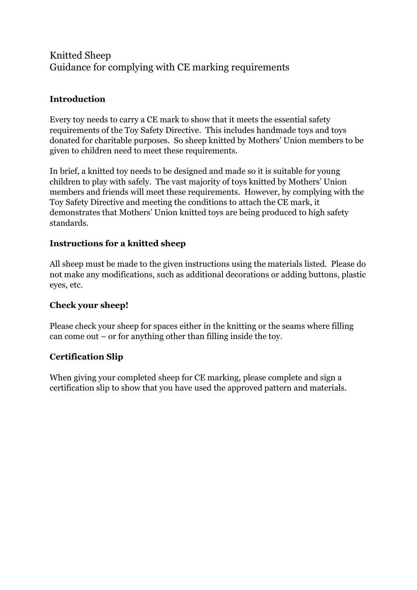# Knitted Sheep Guidance for complying with CE marking requirements

## **Introduction**

Every toy needs to carry a CE mark to show that it meets the essential safety requirements of the Toy Safety Directive. This includes handmade toys and toys donated for charitable purposes. So sheep knitted by Mothers' Union members to be given to children need to meet these requirements.

In brief, a knitted toy needs to be designed and made so it is suitable for young children to play with safely. The vast majority of toys knitted by Mothers' Union members and friends will meet these requirements. However, by complying with the Toy Safety Directive and meeting the conditions to attach the CE mark, it demonstrates that Mothers' Union knitted toys are being produced to high safety standards.

### **Instructions for a knitted sheep**

All sheep must be made to the given instructions using the materials listed. Please do not make any modifications, such as additional decorations or adding buttons, plastic eyes, etc.

### **Check your sheep!**

Please check your sheep for spaces either in the knitting or the seams where filling can come out – or for anything other than filling inside the toy.

### **Certification Slip**

When giving your completed sheep for CE marking, please complete and sign a certification slip to show that you have used the approved pattern and materials.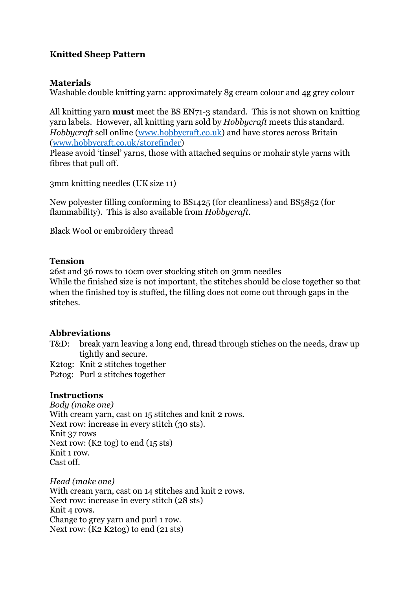### **Knitted Sheep Pattern**

#### **Materials**

Washable double knitting yarn: approximately 8g cream colour and 4g grey colour

All knitting yarn **must** meet the BS EN71-3 standard. This is not shown on knitting yarn labels. However, all knitting yarn sold by *Hobbycraft* meets this standard. *Hobbycraft* sell online [\(www.hobbycraft.co.uk\)](http://www.hobbycraft.co.uk/) and have stores across Britain [\(www.hobbycraft.co.uk/storefinder\)](http://www.hobbycraft.co.uk/storefinder)

Please avoid 'tinsel' yarns, those with attached sequins or mohair style yarns with fibres that pull off.

3mm knitting needles (UK size 11)

New polyester filling conforming to BS1425 (for cleanliness) and BS5852 (for flammability). This is also available from *Hobbycraft*.

Black Wool or embroidery thread

#### **Tension**

26st and 36 rows to 10cm over stocking stitch on 3mm needles While the finished size is not important, the stitches should be close together so that when the finished toy is stuffed, the filling does not come out through gaps in the stitches.

#### **Abbreviations**

T&D: break yarn leaving a long end, thread through stiches on the needs, draw up tightly and secure.

K2tog: Knit 2 stitches together

P2tog: Purl 2 stitches together

#### **Instructions**

*Body (make one)* With cream yarn, cast on 15 stitches and knit 2 rows. Next row: increase in every stitch (30 sts). Knit 37 rows Next row: (K2 tog) to end (15 sts) Knit 1 row. Cast off.

*Head (make one)* With cream yarn, cast on 14 stitches and knit 2 rows. Next row: increase in every stitch (28 sts) Knit 4 rows. Change to grey yarn and purl 1 row. Next row: (K2 K2tog) to end (21 sts)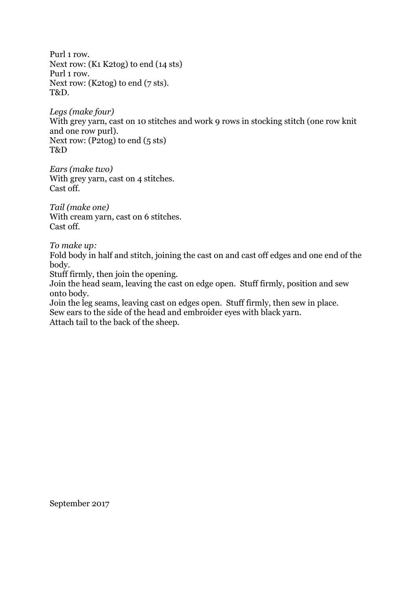Purl 1 row. Next row: (K1 K2tog) to end (14 sts) Purl 1 row. Next row: (K2tog) to end (7 sts). T&D.

*Legs (make four)* With grey yarn, cast on 10 stitches and work 9 rows in stocking stitch (one row knit and one row purl). Next row: (P2tog) to end (5 sts) T&D

*Ears (make two)* With grey yarn, cast on 4 stitches. Cast off.

*Tail (make one)* With cream yarn, cast on 6 stitches. Cast off.

*To make up:*

Fold body in half and stitch, joining the cast on and cast off edges and one end of the body.

Stuff firmly, then join the opening.

Join the head seam, leaving the cast on edge open. Stuff firmly, position and sew onto body.

Join the leg seams, leaving cast on edges open. Stuff firmly, then sew in place. Sew ears to the side of the head and embroider eyes with black yarn.

Attach tail to the back of the sheep.

September 2017